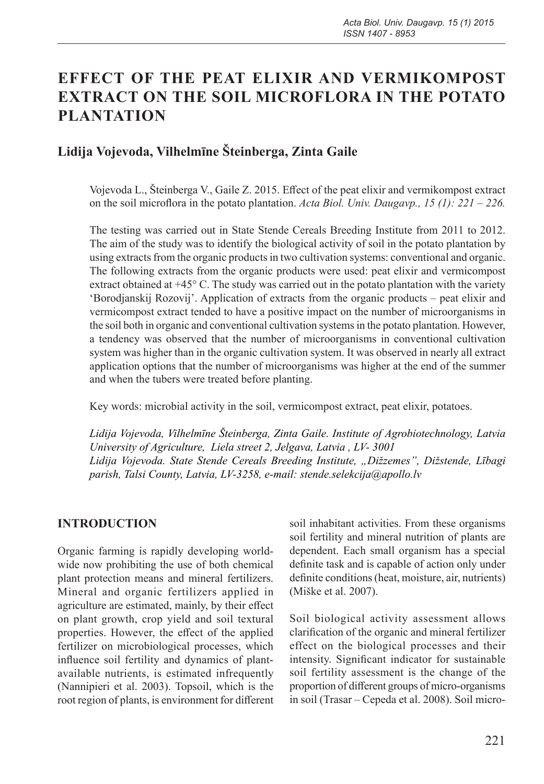# **EFFECT OF THE PEAT ELIXIR AND VERMIKOMPOST EXTRACT ON THE SOIL MICROFLORA IN THE POTATO PLANTATION**

## **Lidija Vojevoda, Vilhelmīne Šteinberga, Zinta Gaile**

Vojevoda L., Šteinberga V., Gaile Z. 2015. Effect of the peat elixir and vermikompost extract on the soil microflora in the potato plantation. *Acta Biol. Univ. Daugavp., 15 (1): 221 – 226.*

The testing was carried out in State Stende Cereals Breeding Institute from 2011 to 2012. The aim of the study was to identify the biological activity of soil in the potato plantation by using extracts from the organic products in two cultivation systems: conventional and organic. The following extracts from the organic products were used: peat elixir and vermicompost extract obtained at +45° C. The study was carried out in the potato plantation with the variety 'Borodjanskij Rozovij'. Application of extracts from the organic products – peat elixir and vermicompost extract tended to have a positive impact on the number of microorganisms in the soil both in organic and conventional cultivation systems in the potato plantation. However, a tendency was observed that the number of microorganisms in conventional cultivation system was higher than in the organic cultivation system. It was observed in nearly all extract application options that the number of microorganisms was higher at the end of the summer and when the tubers were treated before planting.

Key words: microbial activity in the soil, vermicompost extract, peat elixir, potatoes.

*Lidija Vojevoda, Vilhelmīne Šteinberga, Zinta Gaile. Institute of Agrobiotechnology, Latvia University of Agriculture, Liela street 2, Jelgava, Latvia , LV- 3001 Lidija Vojevoda. State Stende Cereals Breeding Institute, "Dižzemes", Dižstende, Lībagi parish, Talsi County, Latvia, LV-3258, e-mail: stende.selekcija@apollo.lv*

### **INTRODUCTION**

Organic farming is rapidly developing worldwide now prohibiting the use of both chemical plant protection means and mineral fertilizers. Mineral and organic fertilizers applied in agriculture are estimated, mainly, by their effect on plant growth, crop yield and soil textural properties. However, the effect of the applied fertilizer on microbiological processes, which influence soil fertility and dynamics of plantavailable nutrients, is estimated infrequently (Nannipieri et al. 2003). Topsoil, which is the root region of plants, is environment for different

soil inhabitant activities. From these organisms soil fertility and mineral nutrition of plants are dependent. Each small organism has a special definite task and is capable of action only under definite conditions (heat, moisture, air, nutrients) (Miške et al. 2007).

Soil biological activity assessment allows clarification of the organic and mineral fertilizer effect on the biological processes and their intensity. Significant indicator for sustainable soil fertility assessment is the change of the proportion of different groups of micro-organisms in soil (Trasar – Cepeda et al. 2008). Soil micro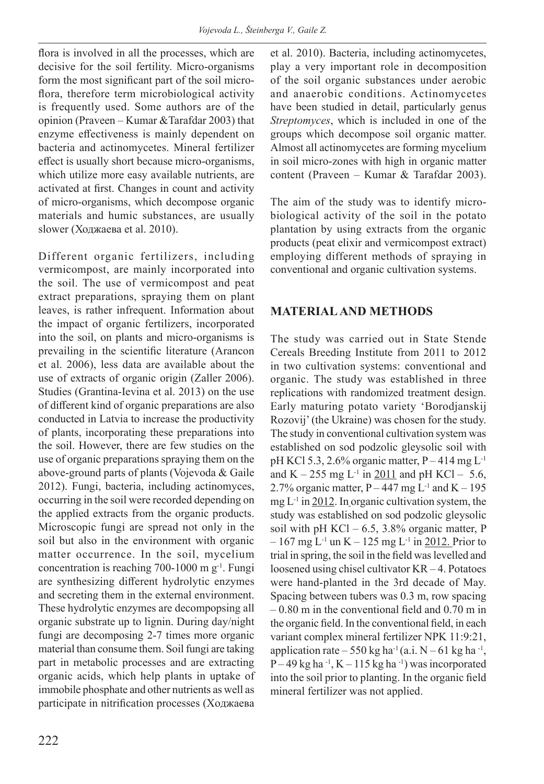flora is involved in all the processes, which are decisive for the soil fertility. Micro-organisms form the most significant part of the soil microflora, therefore term microbiological activity is frequently used. Some authors are of the opinion (Praveen – Kumar &Tarafdar 2003) that enzyme effectiveness is mainly dependent on bacteria and actinomycetes. Mineral fertilizer effect is usually short because micro-organisms, which utilize more easy available nutrients, are activated at first. Changes in count and activity of micro-organisms, which decompose organic materials and humic substances, are usually slower (Ходжаева et al. 2010).

Different organic fertilizers, including vermicompost, are mainly incorporated into the soil. The use of vermicompost and peat extract preparations, spraying them on plant leaves, is rather infrequent. Information about the impact of organic fertilizers, incorporated into the soil, on plants and micro-organisms is prevailing in the scientific literature (Arancon et al. 2006), less data are available about the use of extracts of organic origin (Zaller 2006). Studies (Grantina-Ievina et al. 2013) on the use of different kind of organic preparations are also conducted in Latvia to increase the productivity of plants, incorporating these preparations into the soil. However, there are few studies on the use of organic preparations spraying them on the above-ground parts of plants (Vojevoda & Gaile 2012). Fungi, bacteria, including actinomyces, occurring in the soil were recorded depending on the applied extracts from the organic products. Microscopic fungi are spread not only in the soil but also in the environment with organic matter occurrence. In the soil, mycelium concentration is reaching 700-1000 m  $g^{-1}$ . Fungi are synthesizing different hydrolytic enzymes and secreting them in the external environment. These hydrolytic enzymes are decompopsing all organic substrate up to lignin. During day/night fungi are decomposing 2-7 times more organic material than consume them. Soil fungi are taking part in metabolic processes and are extracting organic acids, which help plants in uptake of immobile phosphate and other nutrients as well as participate in nitrification processes (Ходжаева et al. 2010). Bacteria, including actinomycetes, play a very important role in decomposition of the soil organic substances under aerobic and anaerobic conditions. Actinomycetes have been studied in detail, particularly genus *Streptomyces*, which is included in one of the groups which decompose soil organic matter. Almost all actinomycetes are forming mycelium in soil micro-zones with high in organic matter content (Praveen – Kumar & Tarafdar 2003).

The aim of the study was to identify microbiological activity of the soil in the potato plantation by using extracts from the organic products (peat elixir and vermicompost extract) employing different methods of spraying in conventional and organic cultivation systems.

#### **MATERIAL AND METHODS**

The study was carried out in State Stende Cereals Breeding Institute from 2011 to 2012 in two cultivation systems: conventional and organic. The study was established in three replications with randomized treatment design. Early maturing potato variety 'Borodjanskij Rozovij' (the Ukraine) was chosen for the study. The study in conventional cultivation system was established on sod podzolic gleysolic soil with pH KCl 5.3, 2.6% organic matter,  $P - 414$  mg  $L^{-1}$ and K – 255 mg L<sup>-1</sup> in 2011 and pH KCl – 5.6, 2.7% organic matter,  $P - 447$  mg  $L^{-1}$  and  $K - 195$ mg  $L^{-1}$  in 2012. In organic cultivation system, the study was established on sod podzolic gleysolic soil with pH KCl – 6.5, 3.8% organic matter, P  $-167$  mg L<sup>-1</sup> un K  $-125$  mg L<sup>-1</sup> in 2012. Prior to trial in spring, the soil in the field was levelled and loosened using chisel cultivator KR – 4. Potatoes were hand-planted in the 3rd decade of May. Spacing between tubers was 0.3 m, row spacing – 0.80 m in the conventional field and 0.70 m in the organic field. In the conventional field, in each variant complex mineral fertilizer NPK 11:9:21, application rate – 550 kg ha<sup>-1</sup>(a.i.  $N - 61$  kg ha<sup>-1</sup>,  $P - 49$  kg ha<sup>-1</sup>, K – 115 kg ha<sup>-1</sup>) was incorporated into the soil prior to planting. In the organic field mineral fertilizer was not applied.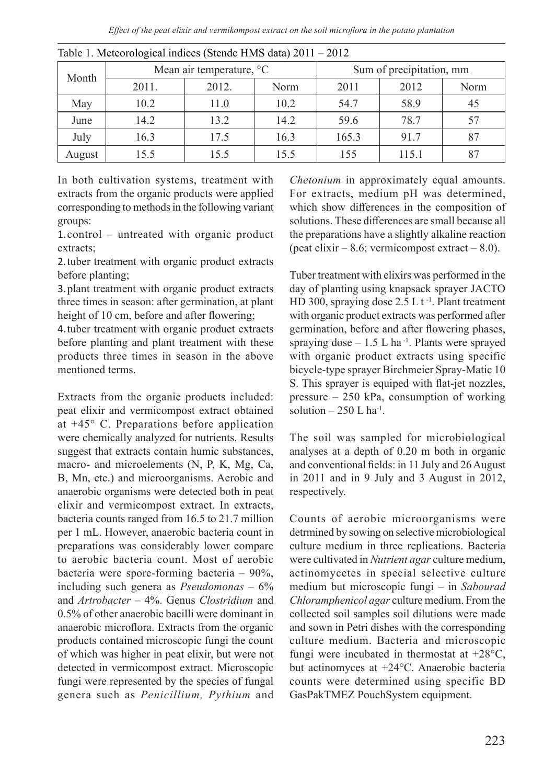| Month  |       | Mean air temperature, °C |      | Sum of precipitation, mm |       |      |  |
|--------|-------|--------------------------|------|--------------------------|-------|------|--|
|        | 2011. | 2012.                    | Norm | 2011                     | 2012  | Norm |  |
| May    | 10.2  | 11.0                     | 10.2 | 54.7                     | 58.9  | 45   |  |
| June   | 14.2  | 13.2                     | 14.2 | 59.6                     | 78.7  |      |  |
| July   | 16.3  | 17.5                     | 16.3 | 165.3                    | 91.7  |      |  |
| August | 15.5  | 15.5                     | 15.5 | 155                      | 115.1 |      |  |

| Table 1. Meteorological indices (Stende HMS data) 2011 - 2012 |  |
|---------------------------------------------------------------|--|
|---------------------------------------------------------------|--|

In both cultivation systems, treatment with extracts from the organic products were applied corresponding to methods in the following variant groups:

1.control – untreated with organic product extracts;

2.tuber treatment with organic product extracts before planting;

3.plant treatment with organic product extracts three times in season: after germination, at plant height of 10 cm, before and after flowering;

4.tuber treatment with organic product extracts before planting and plant treatment with these products three times in season in the above mentioned terms.

Extracts from the organic products included: peat elixir and vermicompost extract obtained at +45° C. Preparations before application were chemically analyzed for nutrients. Results suggest that extracts contain humic substances, macro- and microelements (N, P, K, Mg, Ca, B, Mn, etc.) and microorganisms. Aerobic and anaerobic organisms were detected both in peat elixir and vermicompost extract. In extracts, bacteria counts ranged from 16.5 to 21.7 million per 1 mL. However, anaerobic bacteria count in preparations was considerably lower compare to aerobic bacteria count. Most of aerobic bacteria were spore-forming bacteria – 90%, including such genera as *Pseudomonas* – 6% and *Artrobacter* – 4%. Genus *Clostridium* and 0.5% of other anaerobic bacilli were dominant in anaerobic microflora. Extracts from the organic products contained microscopic fungi the count of which was higher in peat elixir, but were not detected in vermicompost extract. Microscopic fungi were represented by the species of fungal genera such as *Penicillium, Pythium* and

*Chetonium* in approximately equal amounts. For extracts, medium pH was determined, which show differences in the composition of solutions. These differences are small because all the preparations have a slightly alkaline reaction (peat elixir – 8.6; vermicompost extract – 8.0).

Tuber treatment with elixirs was performed in the day of planting using knapsack sprayer JACTO HD 300, spraying dose  $2.5$  L t<sup>-1</sup>. Plant treatment with organic product extracts was performed after germination, before and after flowering phases, spraying dose  $-1.5$  L ha<sup>-1</sup>. Plants were sprayed with organic product extracts using specific bicycle-type sprayer Birchmeier Spray-Matic 10 S. This sprayer is equiped with flat-jet nozzles, pressure – 250 kPa, consumption of working solution  $-250$  L ha<sup>-1</sup>.

The soil was sampled for microbiological analyses at a depth of 0.20 m both in organic and conventional fields: in 11 July and 26 August in 2011 and in 9 July and 3 August in 2012, respectively.

Counts of aerobic microorganisms were detrmined by sowing on selective microbiological culture medium in three replications. Bacteria were cultivated in *Nutrient agar* culture medium, actinomycetes in special selective culture medium but microscopic fungi – in *Sabourad Chloramphenicol agar* culture medium. From the collected soil samples soil dilutions were made and sown in Petri dishes with the corresponding culture medium. Bacteria and microscopic fungi were incubated in thermostat at +28°C, but actinomyces at +24°C. Anaerobic bacteria counts were determined using specific BD GasPakTMEZ PouchSystem equipment.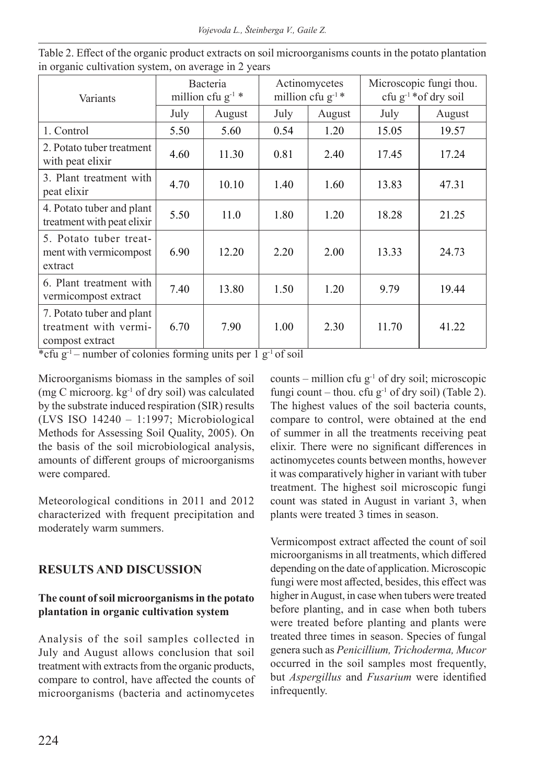*Vojevoda L., Šteinberga V., Gaile Z.*

| Variants                                                              | Bacteria<br>million cfu $g^{-1}$ * |        | Actinomycetes<br>million cfu $g^{-1}$ * |        | Microscopic fungi thou.<br>cfu $g^{-1}$ *of dry soil |        |
|-----------------------------------------------------------------------|------------------------------------|--------|-----------------------------------------|--------|------------------------------------------------------|--------|
|                                                                       | July                               | August | July                                    | August | July                                                 | August |
| 1. Control                                                            | 5.50                               | 5.60   | 0.54                                    | 1.20   | 15.05                                                | 19.57  |
| 2. Potato tuber treatment<br>with peat elixir                         | 4.60                               | 11.30  | 0.81                                    | 2.40   | 17.45                                                | 17.24  |
| 3. Plant treatment with<br>peat elixir                                | 4.70                               | 10.10  | 1.40                                    | 1.60   | 13.83                                                | 47.31  |
| 4. Potato tuber and plant<br>treatment with peat elixir               | 5.50                               | 11.0   | 1.80                                    | 1.20   | 18.28                                                | 21.25  |
| 5. Potato tuber treat-<br>ment with vermicompost<br>extract           | 6.90                               | 12.20  | 2.20                                    | 2.00   | 13.33                                                | 24.73  |
| 6. Plant treatment with<br>vermicompost extract                       | 7.40                               | 13.80  | 1.50                                    | 1.20   | 9.79                                                 | 19.44  |
| 7. Potato tuber and plant<br>treatment with vermi-<br>compost extract | 6.70                               | 7.90   | 1.00                                    | 2.30   | 11.70                                                | 41.22  |

Table 2. Effect of the organic product extracts on soil microorganisms counts in the potato plantation in organic cultivation system, on average in 2 years

\*cfu g<sup>-1</sup> – number of colonies forming units per  $1$  g<sup>-1</sup> of soil

Microorganisms biomass in the samples of soil (mg C microorg. kg-1 of dry soil) was calculated by the substrate induced respiration (SIR) results (LVS ISO 14240 – 1:1997; Microbiological Methods for Assessing Soil Quality, 2005). On the basis of the soil microbiological analysis, amounts of different groups of microorganisms were compared.

Meteorological conditions in 2011 and 2012 characterized with frequent precipitation and moderately warm summers.

### **RESULTS AND DISCUSSION**

#### **The count of soil microorganisms in the potato plantation in organic cultivation system**

Analysis of the soil samples collected in July and August allows conclusion that soil treatment with extracts from the organic products, compare to control, have affected the counts of microorganisms (bacteria and actinomycetes counts – million cfu  $g^{-1}$  of dry soil; microscopic fungi count – thou. cfu  $g^{-1}$  of dry soil) (Table 2). The highest values of the soil bacteria counts, compare to control, were obtained at the end of summer in all the treatments receiving peat elixir. There were no significant differences in actinomycetes counts between months, however it was comparatively higher in variant with tuber treatment. The highest soil microscopic fungi count was stated in August in variant 3, when plants were treated 3 times in season.

Vermicompost extract affected the count of soil microorganisms in all treatments, which differed depending on the date of application. Microscopic fungi were most affected, besides, this effect was higher in August, in case when tubers were treated before planting, and in case when both tubers were treated before planting and plants were treated three times in season. Species of fungal genera such as *Penicillium, Trichoderma, Mucor*  occurred in the soil samples most frequently, but *Aspergillus* and *Fusarium* were identified infrequently.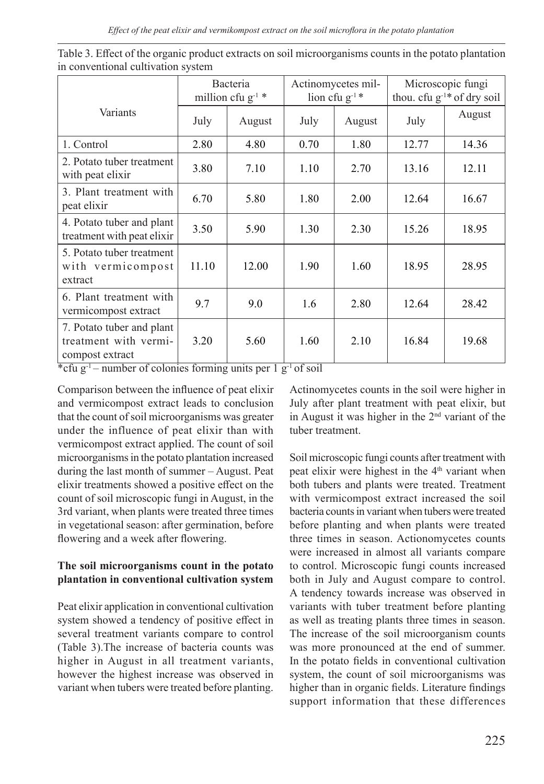*Effect of the peat elixir and vermikompost extract on the soil microflora in the potato plantation*

|                                                                       | Bacteria<br>million cfu $g^{-1}$ * |        | Actinomycetes mil-<br>lion cfu $g^{-1}$ * |        | Microscopic fungi<br>thou. cfu g <sup>-1*</sup> of dry soil |        |
|-----------------------------------------------------------------------|------------------------------------|--------|-------------------------------------------|--------|-------------------------------------------------------------|--------|
| Variants                                                              | July                               | August | July                                      | August | July                                                        | August |
| 1. Control                                                            | 2.80                               | 4.80   | 0.70                                      | 1.80   | 12.77                                                       | 14.36  |
| 2. Potato tuber treatment<br>with peat elixir                         | 3.80                               | 7.10   | 1.10                                      | 2.70   | 13.16                                                       | 12.11  |
| 3. Plant treatment with<br>peat elixir                                | 6.70                               | 5.80   | 1.80                                      | 2.00   | 12.64                                                       | 16.67  |
| 4. Potato tuber and plant<br>treatment with peat elixir               | 3.50                               | 5.90   | 1.30                                      | 2.30   | 15.26                                                       | 18.95  |
| 5. Potato tuber treatment<br>with vermicompost<br>extract             | 11.10                              | 12.00  | 1.90                                      | 1.60   | 18.95                                                       | 28.95  |
| 6. Plant treatment with<br>vermicompost extract                       | 9.7                                | 9.0    | 1.6                                       | 2.80   | 12.64                                                       | 28.42  |
| 7. Potato tuber and plant<br>treatment with vermi-<br>compost extract | 3.20                               | 5.60   | 1.60                                      | 2.10   | 16.84                                                       | 19.68  |

| Table 3. Effect of the organic product extracts on soil microorganisms counts in the potato plantation |  |
|--------------------------------------------------------------------------------------------------------|--|
| in conventional cultivation system                                                                     |  |

\*cfu  $g^{-1}$  – number of colonies forming units per 1  $g^{-1}$  of soil

Comparison between the influence of peat elixir and vermicompost extract leads to conclusion that the count of soil microorganisms was greater under the influence of peat elixir than with vermicompost extract applied. The count of soil microorganisms in the potato plantation increased during the last month of summer – August. Peat elixir treatments showed a positive effect on the count of soil microscopic fungi in August, in the 3rd variant, when plants were treated three times in vegetational season: after germination, before flowering and a week after flowering.

#### **The soil microorganisms count in the potato plantation in conventional cultivation system**

Peat elixir application in conventional cultivation system showed a tendency of positive effect in several treatment variants compare to control (Table 3).The increase of bacteria counts was higher in August in all treatment variants, however the highest increase was observed in variant when tubers were treated before planting.

Actinomycetes counts in the soil were higher in July after plant treatment with peat elixir, but in August it was higher in the 2nd variant of the tuber treatment.

Soil microscopic fungi counts after treatment with peat elixir were highest in the 4<sup>th</sup> variant when both tubers and plants were treated. Treatment with vermicompost extract increased the soil bacteria counts in variant when tubers were treated before planting and when plants were treated three times in season. Actionomycetes counts were increased in almost all variants compare to control. Microscopic fungi counts increased both in July and August compare to control. A tendency towards increase was observed in variants with tuber treatment before planting as well as treating plants three times in season. The increase of the soil microorganism counts was more pronounced at the end of summer. In the potato fields in conventional cultivation system, the count of soil microorganisms was higher than in organic fields. Literature findings support information that these differences